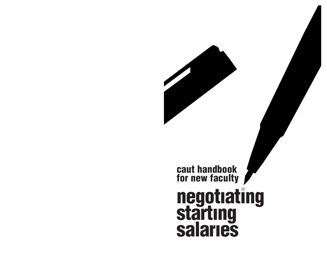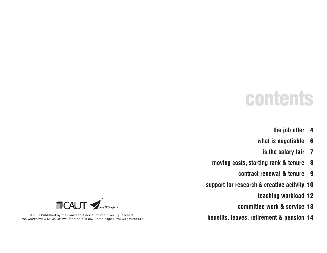# **contents**

- **the job offer 4**
- **what is negotiable 6**
	- **is the salary fair 7**
- **moving costs, starting rank & tenure 8**
	- **contract renewal & tenure 9**
- **support for research & creative activity 10**
	- **teaching workload 12**
	- **committee work & service 13**
- **benefits, leaves, retirement & pension 14**



© 2002 Published by the Canadian Association of University Teachers 2705 Queensview Drive, Ottawa, Ontario K2B 8K2 Photo page 6: www.comstock.ca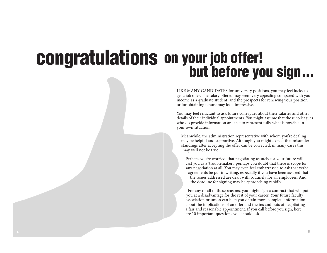#### **congratulations on your job offer! but before you sign...**

LIKE MANY CANDIDATES for university positions, you may feel lucky to get a job offer. The salary offered may seem very appealing compared with your income as a graduate student, and the prospects for renewing your position or for obtaining tenure may look impressive.

You may feel reluctant to ask future colleagues about their salaries and other details of their individual appointments. You might assume that those colleagues who do provide information are able to represent fully what is possible in your own situation.

Meanwhile, the administration representative with whom you're dealing may be helpful and supportive. Although you might expect that misunderstandings after accepting the offer can be corrected, in many cases this may well not be true.

Perhaps you're worried, that negotiating astutely for your future will cast you as a 'troublemaker;' perhaps you doubt that there is scope for any negotiation at all. You may even feel embarrassed to ask that verbal agreements be put in writing, especially if you have been assured that the issues addressed are dealt with routinely for all employees. And the deadline for signing may be approaching rapidly.

For any or all of these reasons, you might sign a contract that will put you at a disadvantage for the rest of your career. Your future faculty association or union can help you obtain more complete information about the implications of an offer and the ins and outs of negotiating a fair and reasonable appointment. If you call before you sign, here are 10 important questions you should ask.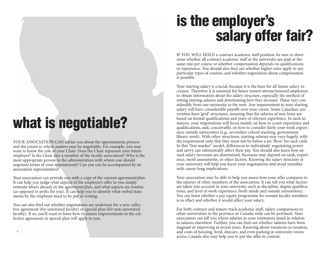# **what is negotiable?**

YOUR ASSOCIATION CAN advise you about the appointments process and the extent to which matters may be negotiable. For example, you may want to know the role of your Chair. Does the Chair represent your future employer? Is the Chair also a member of the faculty association? Who is the most appropriate person in the administration with whom you should negotiate terms of your appointment? Can you can be accompanied by an association representative?

Your association can provide you with a copy of the current agreement/plan. It can help you judge what aspects of the employer's offer to you simply reiterate what's already in the agreement/plan, and what aspects are routine (as opposed to perks for you). It can help you to identify what verbal statements by the employer need to be put in writing.

You can also find out whether negotiations are underway for a new collective agreement (for unionized faculty) or special plan (for non-unionized faculty). If so, you'll want to learn how to ensure improvements in the collective agreement or special plan will apply to you.

# **is the employer's salary offer fair?**

IF YOU WILL HOLD a contract academic staff position, be sure to determine whether all contract academic staff at the university are paid at the same rate per course or whether compensation depends on qualifications or experience. You should also find out whether higher rates apply to any particular types of courses, and whether negotiation about compensation is possible.

Your starting salary is crucial, because it is the base for all future salary increases. Therefore it is essential for future tenure-stream/tenured employees to obtain information about the salary structure, especially the method of setting starting salaries and determining how they increase. These vary considerably from one university to the next. Any improvement to your starting salary will have considerable payoffs over your career. Some Canadian universities have 'grid' structures, meaning that the salaries of new hires are based on formal qualifications and years of relevant experience. In such instances, your negotiations will focus mainly on how to count experience and qualifications, and, conceivably, on how to consider fairly your work experience outside universities (e.g., secondary school teaching, government library work). With other structures, starting salaries may vary hugely, with the requirement only that they must not be below a set 'floor' for each rank. In this "free market" model, differences in individuals' negotiating power and savvy can substantially affect their pay. You should also learn how annual salary increases are determined. Increases may depend on rank, experience, merit assessments, or other factors. Knowing the salary structure at your university will help you focus your negotiations and avoid mistakes with career-long implications.

Your association may be able to help you assess how your offer compares to the salaries of other members of the association. It can tell you what factors are taken into account in your university, such as discipline, degree qualifications, and level of work experience (both inside and outside universities). You can learn whether a pay equity programme for women faculty members is in effect and whether it would affect your salary.

For both contract and tenure-track academic staff, salary comparisons to other universities in the province or Canada-wide can be pertinent. Your association can tell you where salaries in your institution stand in relation to salaries elsewhere. Further, you can find out whether salaries have been stagnant or improving in recent years. Knowing about variations in taxation, and costs of housing, food, daycare, and even parking in university towns across Canada also may help you to put the offer in context.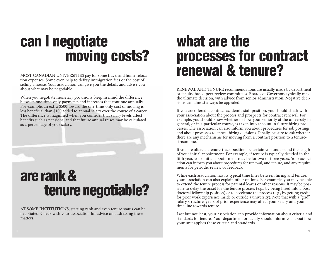# **can I negotiate moving costs?**

MOST CANADIAN UNIVERSITIES pay for some travel and home relocation expenses. Some even help to defray immigration fees or the cost of selling a house. Your association can give you the details and advise you about what may be negotiable.

When you negotiate monetary provisions, keep in mind the difference between one-time-only payments and increases that continue annually. For example, an extra \$500 toward the one-time-only cost of moving is less beneficial than \$100 added to annual salary over the course of a career. The difference is magnified when you consider that salary levels affect benefits such as pensions, and that future annual raises may be calculated as a percentage of your salary.

## are rank & **tenure negotiable?**

AT SOME INSTITUTIONS, starting rank and even tenure status can be negotiated. Check with your association for advice on addressing these matters.

#### **what are the processes for contract renewal & tenure?**

RENEWAL AND TENURE recommendations are usually made by department or faculty-based peer review committees. Boards of Governors typically make the ultimate decision, with advice from senior administration. Negative decisions can almost always be appealed.

If you are offered a contract academic staff position, you should check with your association about the process and prospects for contract renewal. For example, you should know whether or how your seniority at the university in general, or in a particular course, is taken into account in future hiring processes. The association can also inform you about procedures for job postings and about processes to appeal hiring decisions. Finally, be sure to ask whether there are any mechanisms for moving from a contract position to a tenurestream one.

If you are offered a tenure-track position, be certain you understand the length of your initial appointment. For example, if tenure is typically decided in the fifth year, your initial appointment may be for two or three years. Your association can inform you about procedures for renewal, and tenure, and any requirements for periodic review or feedback.

While each association has its typical time lines between hiring and tenure, your association can also explain other options. For example, you may be able to extend the tenure process for parental leaves or other reasons. It may be possible to delay the onset for the tenure process (e.g., by being hired into a postdoctoral fellowship position) or to accelerate the process (e.g., by getting credit for prior work experience inside or outside a university). Note that with a "grid" salary structure, years of prior experience may affect your salary and your time line towards tenure.

Last but not least, your association can provide information about criteria and standards for tenure. Your department or faculty should inform you about how your unit applies these criteria and standards.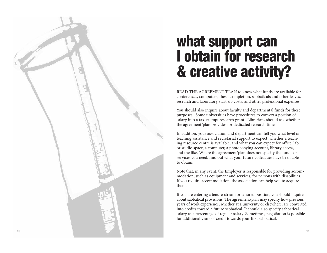# what support can **l obtain for research & c r e a t i v e a c t i v i t y?**

READ THE AGREEMENT/PLAN to know what funds are available for conferences, computers, thesis completion, sabbaticals and other leaves, research and laboratory start-up costs, and other professional expenses.

You should also inquire about faculty and departmental funds for these purposes. Some universities have procedures to convert a portion of salary into a tax-exempt research grant. Librarians should ask whether the agreement/plan provides for dedicated research time.

In addition, your association and department can tell you what level of teaching assistance and secretarial support to expect, whether a teaching resource centre is available, and what you can expect for office, lab, or studio space, a computer, a photocopying account, library access, and the like. Where the agreement/plan does not specify the funds or services you need, find out what your future colleagues have been able to obtain.

Note that, in any event, the Employer is responsible for providing accommodation, such as equipment and services, for persons with disabilities. If you require accommodation, the association can help you to acquire t h e m .

If you are entering a tenure-stream or tenured position, you should inquire about sabbatical provisions. The agreement/plan may specify how previous years of work experience, whether at a university or elsewhere, are converted into credits toward a future sabbatical. It should also specify sabbatical salary as a percentage of regular salary. Sometimes, negotiation is possible for additional years of credit towards your first sabbatical.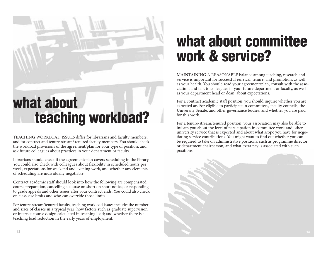

TEACHING WORKLOAD ISSUES differ for librarians and faculty members, and for contract and tenure-stream/ tenured faculty members. You should check the workload provisions of the agreement/plan for your type of position, and ask future colleagues about practices in your department or faculty.

Librarians should check if the agreement/plan covers scheduling in the library. You could also check with colleagues about flexibility in scheduled hours per week, expectations for weekend and evening work, and whether any elements of scheduling are individually negotiable.

Contract academic staff should look into how the following are compensated: course preparation, cancelling a course on short on short notice, or responding to grade appeals and other issues after your contract ends. You could also check on class size limits and who can override those limits.

For tenure-stream/tenured faculty, teaching workload issues include: the number and sizes of classes in a typical year; how factors such as graduate supervision or internet course design calculated in teaching load; and whether there is a teaching load reduction in the early years of employment.

# **what about committee work & service?**

MAINTAINING A REASONABLE balance among teaching, research and service is important for successful renewal, tenure, and promotion, as well as your health. You should read your agreement/plan, consult with the association, and talk to colleagues in your future department or faculty, as well as your department head or dean, about expectations.

For a contract academic staff position, you should inquire whether you are expected and/or eligible to participate in committees, faculty councils, the University Senate, and other governance bodies, and whether you are paid for this work.

For a tenure-stream/tenured position, your association may also be able to inform you about the level of participation in committee work and other university service that is expected and about what scope you have for negotiating service contributions. You might want to find out whether you can be required to take on administrative positions, such as programme director or department chairperson, and what extra pay is associated with such positions.

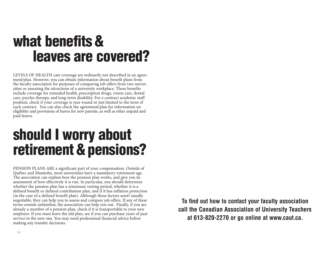# **what benefits& leaves are covered?**

LEVELS OF HEALTH care coverage are ordinarily not described in an agreement/plan. However, you can obtain information about benefit plans from the faculty association for purposes of comparing job offers from two universities or assessing the attractions of a university workplace. These benefits include coverage for extended health, prescription drugs, vision care, dental care, psycho-therapy, and long-term disability. For a contract academic staff position, check if your coverage is year-round or just limited to the term of each contract. You can also check the agreement/plan for information on eligibility and provisions of leaves for new parents, as well as other unpaid and paid leaves.

# **should I worry about retirement&pensions?**

PENSION PLANS ARE a significant part of your compensation. Outside of Québec and Manitoba, most universities have a mandatory retirement age. The association can explain how the pension plan works, and give you its assessment of how effectively it is run. In particular, you should determine whether the pension plan has a minimum vesting period, whether it is a defined benefit or defined contribution plan, and if it has inflation protection (in the case of a defined benefit plan). Although these factors aren't usually negotiable, they can help you to assess and compare job offers. If any of these terms sounds unfamiliar, the association can help you out. Finally, if you are already a member of a pension plan, check if it is transportable to your new employer. If you must leave the old plan, see if you can purchase years of past service in the new one. You may need professional financial advice before making any transfer decisions.

**To find out how to contact your faculty association call the Canadian Association of University Teachers at 613-820-2270 or go online at www.caut.ca.**